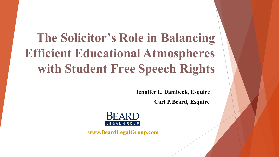# **The Solicitor's Role in Balancing Efficient Educational Atmospheres with Student Free Speech Rights**

**Jennifer L. Dambeck, Esquire** 

**Carl P. Beard, Esquire**



**www.BeardLegalGroup.com**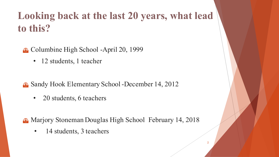# **Looking back at the last 20 years, what lead to this?**

- Columbine High School -April 20, 1999
	- 12 students, 1 teacher
- **B** Sandy Hook Elementary School -December 14, 2012
	- 20 students, 6 teachers
- **B** Marjory Stoneman Douglas High School February 14, 2018
	- 14 students, 3 teachers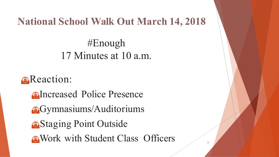### **National School Walk Out March 14, 2018**

#Enough 17 Minutes at 10 a.m.

**e**Reaction:

**On**Increased Police Presence **e**Gymnasiums/Auditoriums *<u>A</u>Staging Point Outside* **E** Work with Student Class Officers

3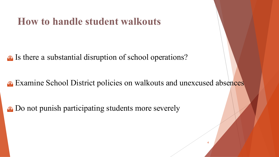### **How to handle student walkouts**

**B** Is there a substantial disruption of school operations?

**Examine School District policies on walkouts and unexcused absences** 

4

**E.** Do not punish participating students more severely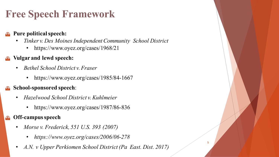# **Free Speech Framework**

#### u **Pure politicalspeech:**

- *Tinker v. Des Moines Independent Community School District*
	- https://www.oyez.org/cases/1968/21

#### **Vulgar and lewd speech:**

- *Bethel School District v.Fraser*
	- https://www.oyez.org/cases/1985/84-1667

#### u **School-sponsored speech**:

- *Hazelwood School District v.Kuhlmeier*
	- https://www.oyez.org/cases/1987/86-836

#### **Off-campus speech**

- *Morse v. Frederick, 551 U.S. 393 (2007)*
	- *https://www.oyez.org/cases/2006/06-278*
- *A.N. v Upper Perkiomen School District (Pa East. Dist. 2017)*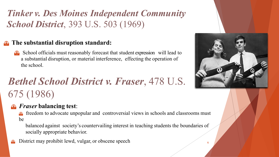### *Tinker v. Des Moines Independent Community School District*, 393 U.S. 503 (1969)

#### u **The substantial disruption standard:**

School officials must reasonably forecast that student expression will lead to a substantial disruption, or material interference, effecting the operation of the school.

# *Bethel School District v. Fraser*, 478 U.S. 675 (1986)

#### u *Fraser* **balancing test**:

freedom to advocate unpopular and controversial views in schools and classrooms must be

balanced against society's countervailing interest in teaching students the boundaries of socially appropriate behavior.

District may prohibit lewd, vulgar, or obscene speech



6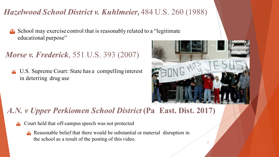#### *Hazelwood School District v. Kuhlmeier,* 484 U.S. 260 (1988)

 $\Theta$  School may exercise control that is reasonably related to a "legitimate" educational purpose"

### *Morse v. Frederick*, 551 U.S. 393 (2007)

<sup>u</sup> U.S. Supreme Court: State has a compelling interest in deterring drug use



7

### *A.N. v Upper Perkiomen School District* **(Pa East. Dist. 2017)**

- Court held that off-campus speech was not protected
	- u Reasonable belief that there would be substantial or material disruption in the school as a result of the posting of this video.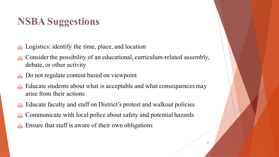# **NSBA Suggestions**

- Logistics: identify the time, place, and location
- Consider the possibility of an educational, curriculum-related assembly, debate, or other activity
- Do not regulate content based on viewpoint
- Educate students about what is acceptable and what consequences may arise from their actions
- Educate faculty and staff on District's protest and walkout policies
- Communicate with local police about safety and potential hazards
- Ensure that staff is aware of their own obligations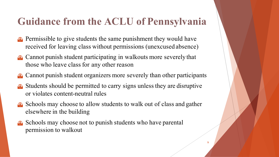# **Guidance from the ACLU of Pennsylvania**

- $\bullet$  Permissible to give students the same punishment they would have received for leaving class without permissions (unexcused absence)
- $\bullet$  Cannot punish student participating in walkouts more severely that those who leave class for any other reason
- Cannot punish student organizers more severely than other participants
- Students should be permitted to carry signs unless they are disruptive or violates content-neutral rules
- $\bullet$  Schools may choose to allow students to walk out of class and gather elsewhere in the building
- Schools may choose not to punish students who have parental permission to walkout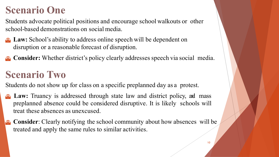## **Scenario One**

Students advocate political positions and encourage school walkouts or other school-based demonstrations on social media.

- **E.** Law: School's ability to address online speech will be dependent on disruption or a reasonable forecast of disruption.
- **Consider:** Whether district's policy clearly addresses speech via social media.

# **Scenario Two**

Students do not show up for class on a specific preplanned day as a protest.

- **B** Law: Truancy is addressed through state law and district policy, ad mass preplanned absence could be considered disruptive. It is likely schools will treat these absences as unexcused.
- **Consider**: Clearly notifying the school community about how absences will be treated and apply the same rules to similar activities.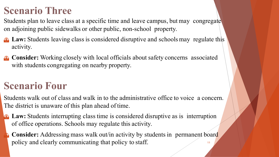## **Scenario Three**

Students plan to leave class at a specific time and leave campus, but may congregate on adjoining public sidewalks or other public, non-school property.

- Law: Students leaving class is considered disruptive and schools may regulate this activity.
- **Consider:** Working closely with local officials about safety concerns associated with students congregating on nearby property.

## **Scenario Four**

Students walk out of class and walk in to the administrative office to voice a concern. The district is unaware of this plan ahead of time.

- **E.** Law: Students interrupting class time is considered disruptive as is interruption of office operations. Schools may regulate this activity.
	- 11 **Consider:** Addressing mass walk out/in activity by students in permanent board policy and clearly communicating that policy to staff.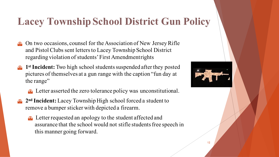## **Lacey Township School District Gun Policy**

- On two occasions, counsel for the Association of New Jersey Rifle and Pistol Clubs sent letters to Lacey Township School District regarding violation of students' First Amendmentrights
- 1<sup>st</sup> Incident: Two high school students suspended after they posted pictures of themselves at a gun range with the caption "fun day at the range"
	- $\bullet$  Letter asserted the zero tolerance policy was unconstitutional.
- 2<sup>nd</sup> Incident: Lacey Township High school forced a student to remove a bumper sticker with depicted a firearm.
	- **E** Letter requested an apology to the student affected and assurance that the school would not stifle students free speech in this manner going forward.

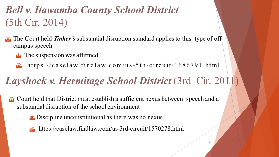# *Bell v. Itawamba County School District* (5th Cir. 2014)

- The Court held *Tinker's* substantial disruption standard applies to this type of off campus speech.
	- $\bullet$  The suspension was affirmed.
	- $\bullet$  https://caselaw.findlaw.com/us-5th-circuit/1686791.html

# *Layshock v. Hermitage School District* (3rd Cir. 2011)

- u Court held that District must establish a sufficient nexus between speech and a substantial disruption of the school environment
	- **E** Discipline unconstitutional as there was no nexus.
	- $\Theta$  https://caselaw.findlaw.com/us-3rd-circuit/1570278.html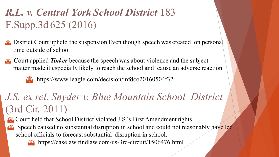# *R.L. v. Central York School District* 183 F.Supp.3d 625 (2016)

- **E.** District Court upheld the suspension Even though speech was created on personal time outside of school
- **E** Court applied *Tinker* because the speech was about violence and the subject matter made it especially likely to reach the school and cause an adverse reaction

 $\bullet$  https://www.leagle.com/decision/infdco20160504f32

# *J.S. ex rel. Snyder v. Blue Mountain School District*  (3rd Cir. 2011)

Court held that School District violated J.S.'s First Amendment rights

Speech caused no substantial disruption in school and could not reasonably have led school officials to forecast substantial disruption in school.

14

 $\bullet$  https://caselaw.findlaw.com/us-3rd-circuit/1506476.html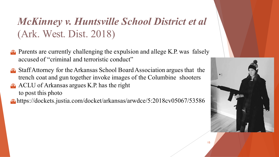# *McKinney v. Huntsville School District et al* (Ark. West. Dist. 2018)

- $\bullet$  Parents are currently challenging the expulsion and allege K.P. was falsely accused of "criminal and terroristic conduct"
- u StaffAttorney for the Arkansas School BoardAssociation argues that the trench coat and gun together invoke images of the Columbine shooters
- $\Theta$  ACLU of Arkansas argues K.P. has the right to post this photo
- u https://dockets.justia.com/docket/arkansas/arwdce/5:2018cv05067/53586

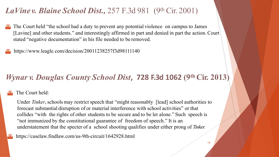#### *LaVine v. Blaine School Dist.,* 257 F.3d 981 (9th Cir. 2001)

The Court held "the school had a duty to prevent any potential violence on campus to James [Lavine] and other students." and interestingly affirmed in part and denied in part the action. Court stated "negative documentation" in his file needed to be removed.

https://www.leagle.com/decision/20011238257f3d98111140

#### *Wynar v. Douglas County School Dist*, 728 F.3d 1062 (9th Cir. 2013)

#### The Court held:

Under *Tinker*, schools may restrict speech that "might reasonably [lead] school authorities to forecast substantial disruption of or material interference with school activities" or that collides "with the rights of other students to be secure and to be let alone." Such speech is "not immunized by the constitutional guarantee of freedom of speech." It is an understatement that the specter of a school shooting qualifies under either prong of *Tinker.*

https://caselaw.findlaw.com/us-9th-circuit/1642928.html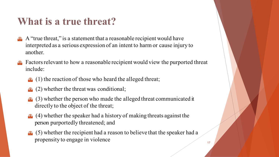## **What is a true threat?**

- $\bullet$  A "true threat," is a statement that a reasonable recipient would have interpreted as a serious expression of an intent to harm or cause injury to another.
- Factors relevant to how a reasonable recipient would view the purported threat include:
	- $\bigodot$  (1) the reaction of those who heard the alleged threat;
	- $(2)$  whether the threat was conditional;
	- $\odot$  (3) whether the person who made the alleged threat communicated it directly to the object of the threat;
	- $\odot$  (4) whether the speaker had a history of making threats against the person purportedly threatened; and
	- $\odot$  (5) whether the recipient had a reason to believe that the speaker had a propensity to engage in violence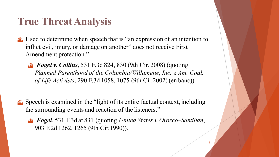## **True ThreatAnalysis**

- $\bullet$  Used to determine when speech that is "an expression of an intention to inflict evil, injury, or damage on another" does not receive First Amendment protection."
	- **B** *Fogel v. Collins*, 531 F.3d 824, 830 (9th Cir. 2008) (quoting *Planned Parenthood of the Columbia/Willamette, Inc. v. Am. Coal. of Life Activists*, 290 F.3d 1058, 1075 (9th Cir.2002) (en banc)).
- $\bullet$  Speech is examined in the "light of its entire factual context, including the surrounding events and reaction of the listeners."
	- u *Fogel*, 531 F.3d at 831 (quoting *United States v. Orozco–Santillan*, 903 F.2d 1262, 1265 (9th Cir.1990)).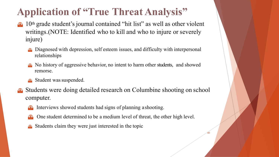# **Application of "True Threat Analysis"**

- 10<sup>th</sup> grade student's journal contained "hit list" as well as other violent writings.(NOTE: Identified who to kill and who to injure or severely injure)
	- Diagnosed with depression, self esteem issues, and difficulty with interpersonal relationships
	- u No history of aggressive behavior, no intent to harm other students, and showed remorse.
	- $\bullet$  Student was suspended.
- **E** Students were doing detailed research on Columbine shooting on school computer.
	- Interviews showed students had signs of planning a shooting.
	- One student determined to be a medium level of threat, the other high level.

41

Students claim they were just interested in the topic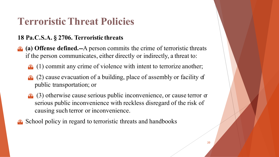# **Terroristic Threat Policies**

#### **18 Pa.C.S.A. § 2706. Terroristic threats**

- **(a) Offense defined.--**A person commits the crime of terroristic threats if the person communicates, either directly or indirectly, a threat to:
	- $\Theta$  (1) commit any crime of violence with intent to terrorize another;
	- $\bullet$  (2) cause evacuation of a building, place of assembly or facility of public transportation; or
	- $\bullet$  (3) otherwise cause serious public inconvenience, or cause terror  $\sigma$ serious public inconvenience with reckless disregard of the risk of causing such terror or inconvenience.
- School policy in regard to terroristic threats and handbooks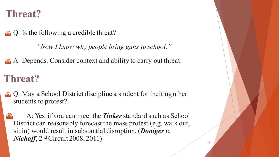### **Threat?**

 $\Theta$  Q: Is the following a credible threat?

*"Now I know why people bring guns to school."*

**e.** A: Depends. Consider context and ability to carry out threat.

## **Threat?**

- $\Theta$  Q: May a School District discipline a student for inciting other students to protest?
- u A: Yes, if you can meet the *Tinker* standard such as School District can reasonably forecast the mass protest (e.g. walk out, sit in) would result in substantial disruption. (*Doniger v. Niehoff*, 2nd Circuit 2008, 2011)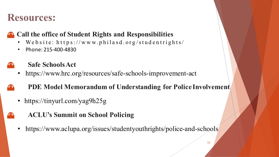### **Resources:**

#### u **Call the office of Student Rights and Responsibilities**

- We b site: https://www.philasd.org/studentrights/
- Phone: 215-400-4830

#### **Safe Schools Act**

• https://www.hrc.org/resources/safe-schools-improvement-act

#### u **PDE Model Memorandum of Understanding for Police Involvement**

- https://tinyurl.com/yag9h25g
- u **ACLU's Summit on School Policing**
	- https://www.aclupa.org/issues/studentyouthrights/police-and-schools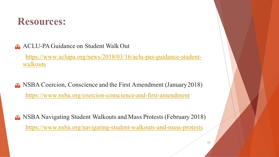

**a** ACLU-PA Guidance on Student Walk Out

https://www.aclupa.org/news/2018/03/16/aclu-pas-guidance-studentwalkouts

- u NSBA Coercion, Conscience and the First Amendment (January2018) https://www.nsba.org/coercion-conscience-and-first-amendment
- **B** NSBA Navigating Student Walkouts and Mass Protests (February 2018) https://www.nsba.org/navigating-student-walkouts-and-mass-protests